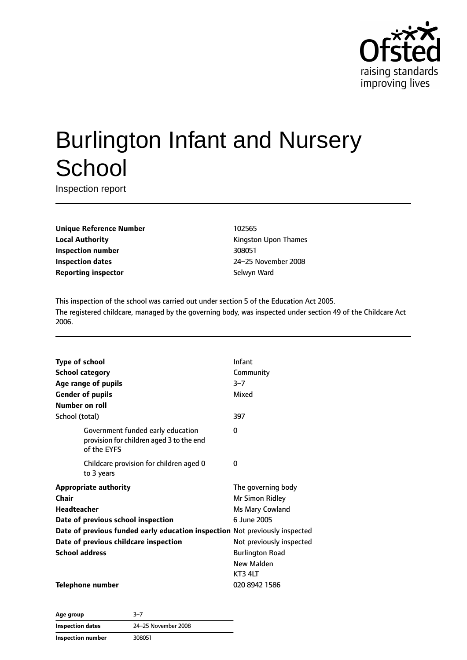

# Burlington Infant and Nursery **School**

Inspection report

**Unique Reference Number** 102565 **Local Authority Constanting Constanting Kingston Upon Thames Inspection number** 308051 **Inspection dates** 24–25 November 2008 **Reporting inspector** Selwyn Ward

This inspection of the school was carried out under section 5 of the Education Act 2005. The registered childcare, managed by the governing body, was inspected under section 49 of the Childcare Act 2006.

| <b>Type of school</b>                                                                        | Infant                   |
|----------------------------------------------------------------------------------------------|--------------------------|
| <b>School category</b>                                                                       | Community                |
| Age range of pupils                                                                          | $3 - 7$                  |
| <b>Gender of pupils</b>                                                                      | Mixed                    |
| Number on roll                                                                               |                          |
| School (total)                                                                               | 397                      |
| Government funded early education<br>provision for children aged 3 to the end<br>of the EYFS | 0                        |
| Childcare provision for children aged 0<br>to 3 years                                        | 0                        |
| <b>Appropriate authority</b>                                                                 | The governing body       |
| Chair                                                                                        | Mr Simon Ridley          |
| Headteacher                                                                                  | Ms Mary Cowland          |
| Date of previous school inspection                                                           | 6 June 2005              |
| Date of previous funded early education inspection Not previously inspected                  |                          |
| Date of previous childcare inspection                                                        | Not previously inspected |
| <b>School address</b>                                                                        | <b>Burlington Road</b>   |
|                                                                                              | New Malden               |
|                                                                                              | KT3 4LT                  |
| Telephone number                                                                             | 020 8942 1586            |

**Age group** 3–7 **Inspection dates** 24–25 November 2008 **Inspection number** 308051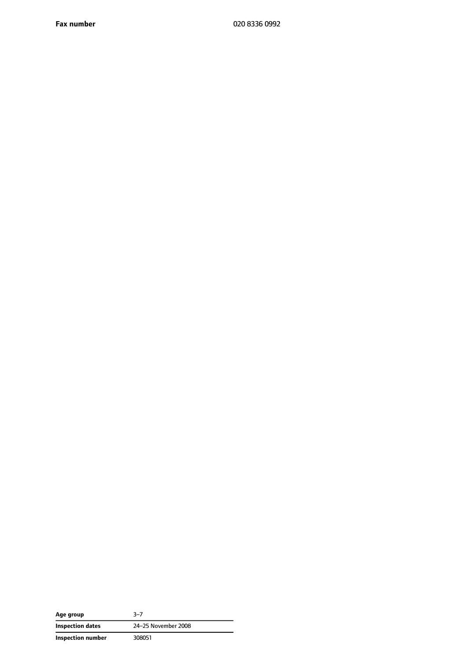**Fax number** 020 8336 0992

| Age group                | $3 - 7$             |  |
|--------------------------|---------------------|--|
| <b>Inspection dates</b>  | 24-25 November 2008 |  |
| <b>Inspection number</b> | 308051              |  |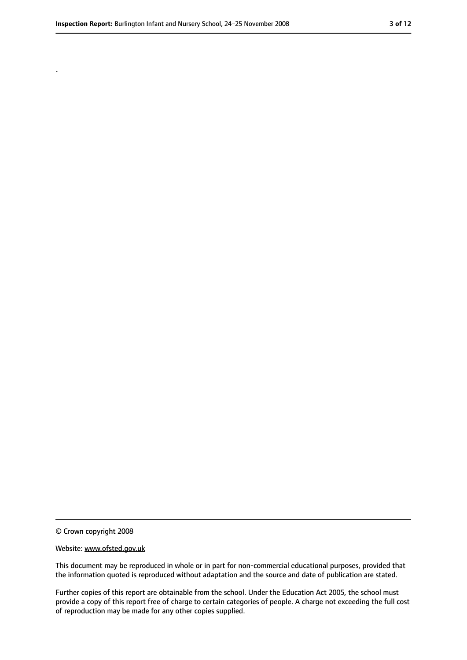.

<sup>©</sup> Crown copyright 2008

Website: www.ofsted.gov.uk

This document may be reproduced in whole or in part for non-commercial educational purposes, provided that the information quoted is reproduced without adaptation and the source and date of publication are stated.

Further copies of this report are obtainable from the school. Under the Education Act 2005, the school must provide a copy of this report free of charge to certain categories of people. A charge not exceeding the full cost of reproduction may be made for any other copies supplied.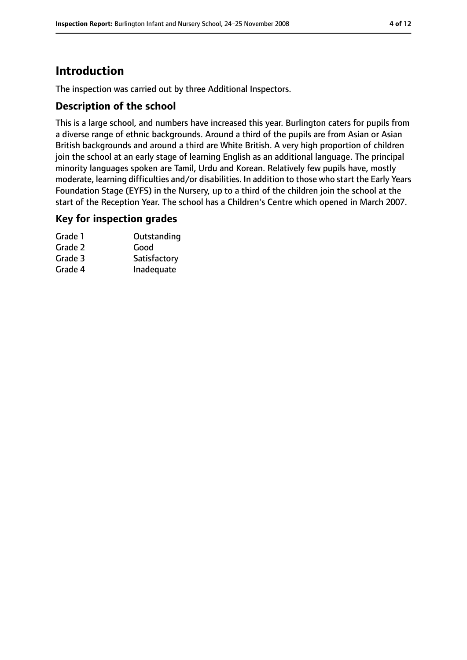# **Introduction**

The inspection was carried out by three Additional Inspectors.

#### **Description of the school**

This is a large school, and numbers have increased this year. Burlington caters for pupils from a diverse range of ethnic backgrounds. Around a third of the pupils are from Asian or Asian British backgrounds and around a third are White British. A very high proportion of children join the school at an early stage of learning English as an additional language. The principal minority languages spoken are Tamil, Urdu and Korean. Relatively few pupils have, mostly moderate, learning difficulties and/or disabilities. In addition to those who start the Early Years Foundation Stage (EYFS) in the Nursery, up to a third of the children join the school at the start of the Reception Year. The school has a Children's Centre which opened in March 2007.

#### **Key for inspection grades**

| Grade 1 | Outstanding  |
|---------|--------------|
| Grade 2 | Good         |
| Grade 3 | Satisfactory |
| Grade 4 | Inadequate   |
|         |              |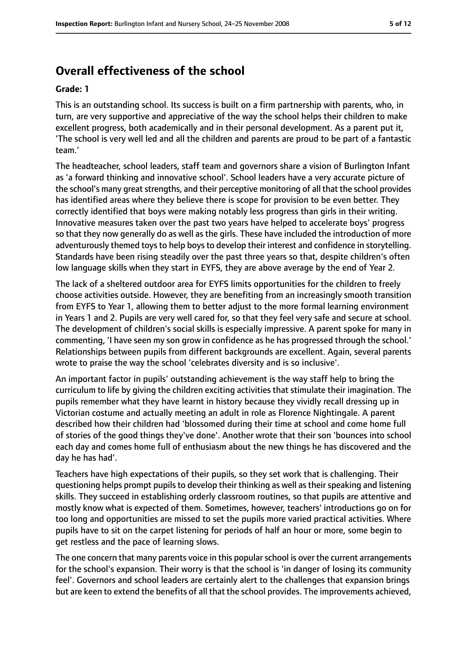# **Overall effectiveness of the school**

#### **Grade: 1**

This is an outstanding school. Its success is built on a firm partnership with parents, who, in turn, are very supportive and appreciative of the way the school helps their children to make excellent progress, both academically and in their personal development. As a parent put it, 'The school is very well led and all the children and parents are proud to be part of a fantastic team.'

The headteacher, school leaders, staff team and governors share a vision of Burlington Infant as 'a forward thinking and innovative school'. School leaders have a very accurate picture of the school's many great strengths, and their perceptive monitoring of all that the school provides has identified areas where they believe there is scope for provision to be even better. They correctly identified that boys were making notably less progress than girls in their writing. Innovative measures taken over the past two years have helped to accelerate boys' progress so that they now generally do as well as the girls. These have included the introduction of more adventurously themed toys to help boys to develop their interest and confidence in storytelling. Standards have been rising steadily over the past three years so that, despite children's often low language skills when they start in EYFS, they are above average by the end of Year 2.

The lack of a sheltered outdoor area for EYFS limits opportunities for the children to freely choose activities outside. However, they are benefiting from an increasingly smooth transition from EYFS to Year 1, allowing them to better adjust to the more formal learning environment in Years 1 and 2. Pupils are very well cared for, so that they feel very safe and secure at school. The development of children's social skills is especially impressive. A parent spoke for many in commenting, 'I have seen my son grow in confidence as he has progressed through the school.' Relationships between pupils from different backgrounds are excellent. Again, several parents wrote to praise the way the school 'celebrates diversity and is so inclusive'.

An important factor in pupils' outstanding achievement is the way staff help to bring the curriculum to life by giving the children exciting activities that stimulate their imagination. The pupils remember what they have learnt in history because they vividly recall dressing up in Victorian costume and actually meeting an adult in role as Florence Nightingale. A parent described how their children had 'blossomed during their time at school and come home full of stories of the good things they've done'. Another wrote that their son 'bounces into school each day and comes home full of enthusiasm about the new things he has discovered and the day he has had'.

Teachers have high expectations of their pupils, so they set work that is challenging. Their questioning helps prompt pupilsto develop their thinking as well astheirspeaking and listening skills. They succeed in establishing orderly classroom routines, so that pupils are attentive and mostly know what is expected of them. Sometimes, however, teachers' introductions go on for too long and opportunities are missed to set the pupils more varied practical activities. Where pupils have to sit on the carpet listening for periods of half an hour or more, some begin to get restless and the pace of learning slows.

The one concern that many parents voice in this popular school is over the current arrangements for the school's expansion. Their worry is that the school is 'in danger of losing its community feel'. Governors and school leaders are certainly alert to the challenges that expansion brings but are keen to extend the benefits of all that the school provides. The improvements achieved,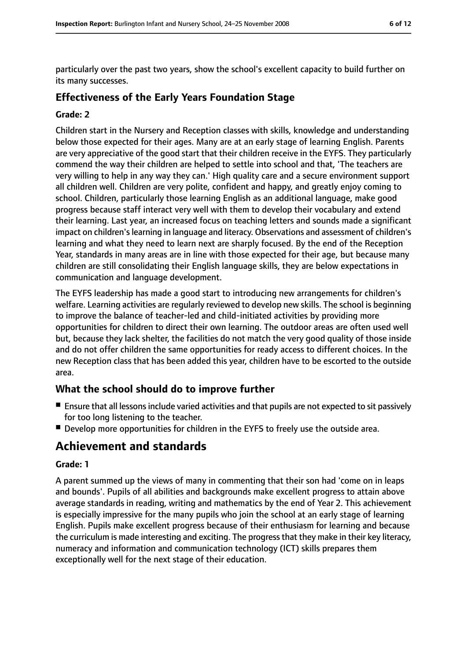particularly over the past two years, show the school's excellent capacity to build further on its many successes.

## **Effectiveness of the Early Years Foundation Stage**

#### **Grade: 2**

Children start in the Nursery and Reception classes with skills, knowledge and understanding below those expected for their ages. Many are at an early stage of learning English. Parents are very appreciative of the good start that their children receive in the EYFS. They particularly commend the way their children are helped to settle into school and that, 'The teachers are very willing to help in any way they can.' High quality care and a secure environment support all children well. Children are very polite, confident and happy, and greatly enjoy coming to school. Children, particularly those learning English as an additional language, make good progress because staff interact very well with them to develop their vocabulary and extend their learning. Last year, an increased focus on teaching letters and sounds made a significant impact on children's learning in language and literacy. Observations and assessment of children's learning and what they need to learn next are sharply focused. By the end of the Reception Year, standards in many areas are in line with those expected for their age, but because many children are still consolidating their English language skills, they are below expectations in communication and language development.

The EYFS leadership has made a good start to introducing new arrangements for children's welfare. Learning activities are regularly reviewed to develop new skills. The school is beginning to improve the balance of teacher-led and child-initiated activities by providing more opportunities for children to direct their own learning. The outdoor areas are often used well but, because they lack shelter, the facilities do not match the very good quality of those inside and do not offer children the same opportunities for ready access to different choices. In the new Reception class that has been added this year, children have to be escorted to the outside area.

## **What the school should do to improve further**

- Ensure that all lessons include varied activities and that pupils are not expected to sit passively for too long listening to the teacher.
- Develop more opportunities for children in the EYFS to freely use the outside area.

# **Achievement and standards**

#### **Grade: 1**

A parent summed up the views of many in commenting that their son had 'come on in leaps and bounds'. Pupils of all abilities and backgrounds make excellent progress to attain above average standards in reading, writing and mathematics by the end of Year 2. This achievement is especially impressive for the many pupils who join the school at an early stage of learning English. Pupils make excellent progress because of their enthusiasm for learning and because the curriculum is made interesting and exciting. The progressthat they make in their key literacy, numeracy and information and communication technology (ICT) skills prepares them exceptionally well for the next stage of their education.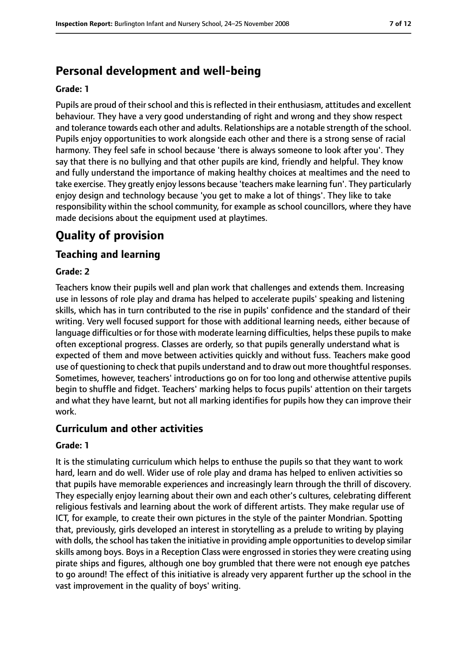# **Personal development and well-being**

#### **Grade: 1**

Pupils are proud of their school and this is reflected in their enthusiasm, attitudes and excellent behaviour. They have a very good understanding of right and wrong and they show respect and tolerance towards each other and adults. Relationships are a notable strength of the school. Pupils enjoy opportunities to work alongside each other and there is a strong sense of racial harmony. They feel safe in school because 'there is always someone to look after you'. They say that there is no bullying and that other pupils are kind, friendly and helpful. They know and fully understand the importance of making healthy choices at mealtimes and the need to take exercise. They greatly enjoy lessons because 'teachers make learning fun'. They particularly enjoy design and technology because 'you get to make a lot of things'. They like to take responsibility within the school community, for example as school councillors, where they have made decisions about the equipment used at playtimes.

# **Quality of provision**

## **Teaching and learning**

#### **Grade: 2**

Teachers know their pupils well and plan work that challenges and extends them. Increasing use in lessons of role play and drama has helped to accelerate pupils' speaking and listening skills, which has in turn contributed to the rise in pupils' confidence and the standard of their writing. Very well focused support for those with additional learning needs, either because of language difficulties or for those with moderate learning difficulties, helps these pupils to make often exceptional progress. Classes are orderly, so that pupils generally understand what is expected of them and move between activities quickly and without fuss. Teachers make good use of questioning to check that pupils understand and to draw out more thoughtful responses. Sometimes, however, teachers' introductions go on for too long and otherwise attentive pupils begin to shuffle and fidget. Teachers' marking helps to focus pupils' attention on their targets and what they have learnt, but not all marking identifies for pupils how they can improve their work.

#### **Curriculum and other activities**

#### **Grade: 1**

It is the stimulating curriculum which helps to enthuse the pupils so that they want to work hard, learn and do well. Wider use of role play and drama has helped to enliven activities so that pupils have memorable experiences and increasingly learn through the thrill of discovery. They especially enjoy learning about their own and each other's cultures, celebrating different religious festivals and learning about the work of different artists. They make regular use of ICT, for example, to create their own pictures in the style of the painter Mondrian. Spotting that, previously, girls developed an interest in storytelling as a prelude to writing by playing with dolls, the school has taken the initiative in providing ample opportunities to develop similar skills among boys. Boys in a Reception Class were engrossed in stories they were creating using pirate ships and figures, although one boy grumbled that there were not enough eye patches to go around! The effect of this initiative is already very apparent further up the school in the vast improvement in the quality of boys' writing.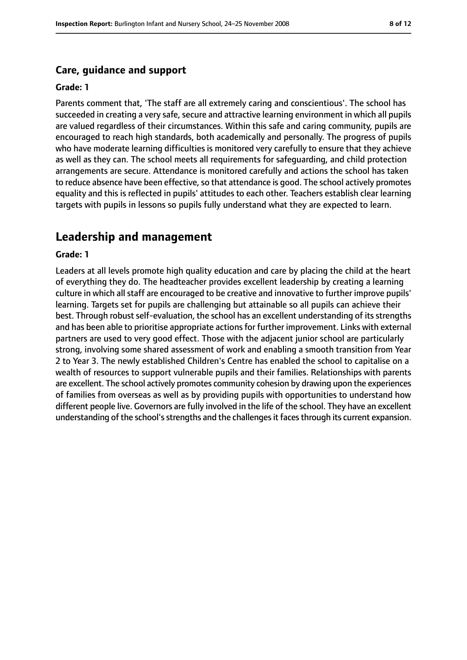#### **Care, guidance and support**

#### **Grade: 1**

Parents comment that, 'The staff are all extremely caring and conscientious'. The school has succeeded in creating a very safe, secure and attractive learning environment in which all pupils are valued regardless of their circumstances. Within this safe and caring community, pupils are encouraged to reach high standards, both academically and personally. The progress of pupils who have moderate learning difficulties is monitored very carefully to ensure that they achieve as well as they can. The school meets all requirements for safeguarding, and child protection arrangements are secure. Attendance is monitored carefully and actions the school has taken to reduce absence have been effective, so that attendance is good. The school actively promotes equality and this is reflected in pupils' attitudes to each other. Teachers establish clear learning targets with pupils in lessons so pupils fully understand what they are expected to learn.

## **Leadership and management**

#### **Grade: 1**

Leaders at all levels promote high quality education and care by placing the child at the heart of everything they do. The headteacher provides excellent leadership by creating a learning culture in which all staff are encouraged to be creative and innovative to further improve pupils' learning. Targets set for pupils are challenging but attainable so all pupils can achieve their best. Through robust self-evaluation, the school has an excellent understanding of its strengths and has been able to prioritise appropriate actions for further improvement. Links with external partners are used to very good effect. Those with the adjacent junior school are particularly strong, involving some shared assessment of work and enabling a smooth transition from Year 2 to Year 3. The newly established Children's Centre has enabled the school to capitalise on a wealth of resources to support vulnerable pupils and their families. Relationships with parents are excellent. The school actively promotes community cohesion by drawing upon the experiences of families from overseas as well as by providing pupils with opportunities to understand how different people live. Governors are fully involved in the life of the school. They have an excellent understanding of the school's strengths and the challenges it faces through its current expansion.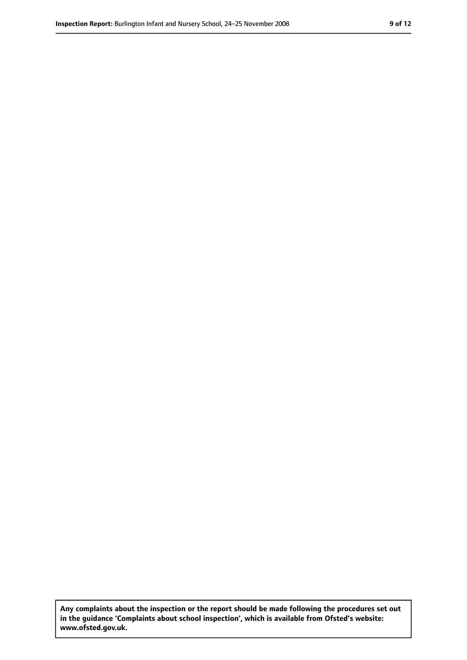**Any complaints about the inspection or the report should be made following the procedures set out in the guidance 'Complaints about school inspection', which is available from Ofsted's website: www.ofsted.gov.uk.**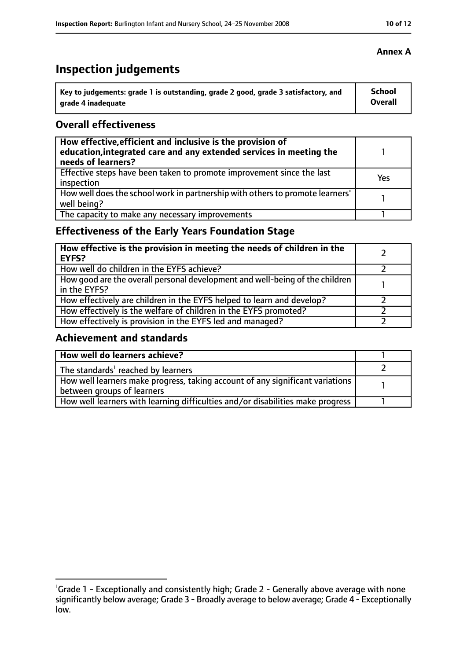# **Inspection judgements**

| Key to judgements: grade 1 is outstanding, grade 2 good, grade 3 satisfactory, and | <b>School</b> |
|------------------------------------------------------------------------------------|---------------|
| arade 4 inadequate                                                                 | Overall       |

### **Overall effectiveness**

| How effective, efficient and inclusive is the provision of<br>education, integrated care and any extended services in meeting the<br>needs of learners? |     |
|---------------------------------------------------------------------------------------------------------------------------------------------------------|-----|
| Effective steps have been taken to promote improvement since the last<br>inspection                                                                     | Yes |
| How well does the school work in partnership with others to promote learners'<br>well being?                                                            |     |
| The capacity to make any necessary improvements                                                                                                         |     |

## **Effectiveness of the Early Years Foundation Stage**

| How effective is the provision in meeting the needs of children in the<br><b>EYFS?</b>       |  |
|----------------------------------------------------------------------------------------------|--|
| How well do children in the EYFS achieve?                                                    |  |
| How good are the overall personal development and well-being of the children<br>in the EYFS? |  |
| How effectively are children in the EYFS helped to learn and develop?                        |  |
| How effectively is the welfare of children in the EYFS promoted?                             |  |
| How effectively is provision in the EYFS led and managed?                                    |  |

## **Achievement and standards**

| How well do learners achieve?                                                               |  |
|---------------------------------------------------------------------------------------------|--|
| The standards <sup>1</sup> reached by learners                                              |  |
| $\mid$ How well learners make progress, taking account of any significant variations $\mid$ |  |
| between groups of learners                                                                  |  |
| How well learners with learning difficulties and/or disabilities make progress              |  |

<sup>&</sup>lt;sup>1</sup>Grade 1 - Exceptionally and consistently high; Grade 2 - Generally above average with none significantly below average; Grade 3 - Broadly average to below average; Grade 4 - Exceptionally low.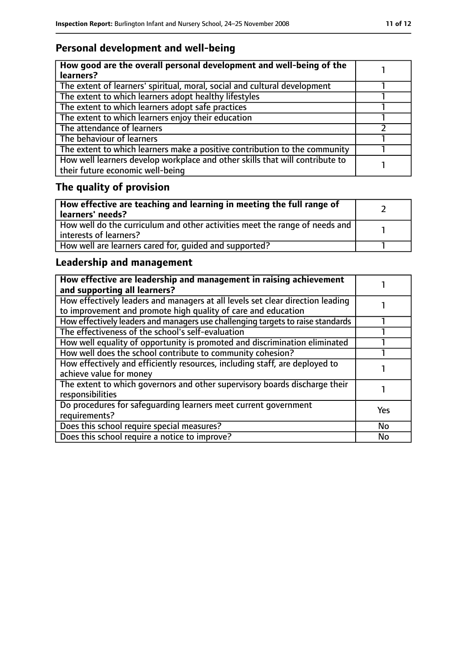# **Personal development and well-being**

| How good are the overall personal development and well-being of the<br>learners?                                 |  |
|------------------------------------------------------------------------------------------------------------------|--|
| The extent of learners' spiritual, moral, social and cultural development                                        |  |
| The extent to which learners adopt healthy lifestyles                                                            |  |
| The extent to which learners adopt safe practices                                                                |  |
| The extent to which learners enjoy their education                                                               |  |
| The attendance of learners                                                                                       |  |
| The behaviour of learners                                                                                        |  |
| The extent to which learners make a positive contribution to the community                                       |  |
| How well learners develop workplace and other skills that will contribute to<br>their future economic well-being |  |

# **The quality of provision**

| How effective are teaching and learning in meeting the full range of<br>learners' needs?              |  |
|-------------------------------------------------------------------------------------------------------|--|
| How well do the curriculum and other activities meet the range of needs and<br>interests of learners? |  |
| How well are learners cared for, quided and supported?                                                |  |

## **Leadership and management**

| How effective are leadership and management in raising achievement<br>and supporting all learners?                                              |            |
|-------------------------------------------------------------------------------------------------------------------------------------------------|------------|
| How effectively leaders and managers at all levels set clear direction leading<br>to improvement and promote high quality of care and education |            |
| How effectively leaders and managers use challenging targets to raise standards                                                                 |            |
| The effectiveness of the school's self-evaluation                                                                                               |            |
| How well equality of opportunity is promoted and discrimination eliminated                                                                      |            |
| How well does the school contribute to community cohesion?                                                                                      |            |
| How effectively and efficiently resources, including staff, are deployed to<br>achieve value for money                                          |            |
| The extent to which governors and other supervisory boards discharge their<br>responsibilities                                                  |            |
| Do procedures for safequarding learners meet current government<br>requirements?                                                                | <b>Yes</b> |
| Does this school require special measures?                                                                                                      | <b>No</b>  |
| Does this school require a notice to improve?                                                                                                   | No         |